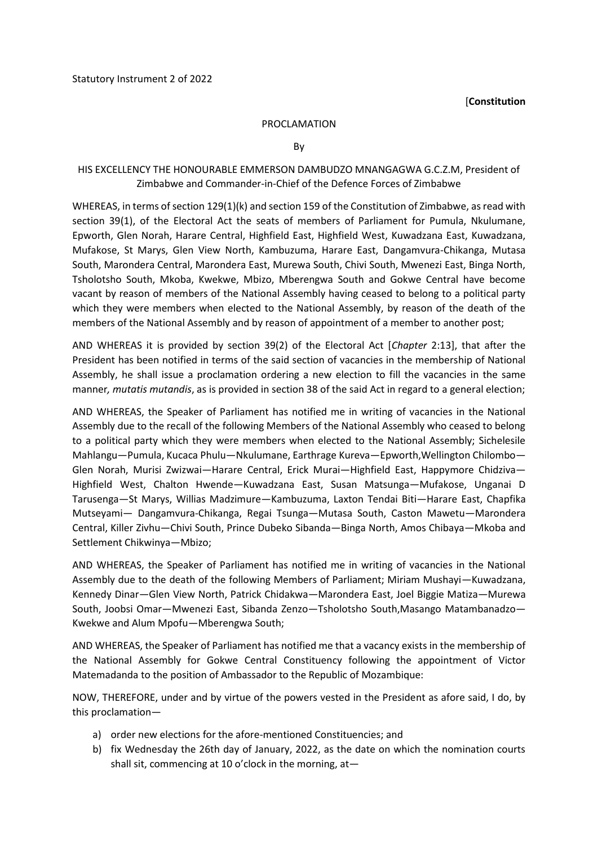## [**Constitution**

## PROCLAMATION

By

## HIS EXCELLENCY THE HONOURABLE EMMERSON DAMBUDZO MNANGAGWA G.C.Z.M, President of Zimbabwe and Commander-in-Chief of the Defence Forces of Zimbabwe

WHEREAS, in terms of section 129(1)(k) and section 159 of the Constitution of Zimbabwe, as read with section 39(1), of the Electoral Act the seats of members of Parliament for Pumula, Nkulumane, Epworth, Glen Norah, Harare Central, Highfield East, Highfield West, Kuwadzana East, Kuwadzana, Mufakose, St Marys, Glen View North, Kambuzuma, Harare East, Dangamvura-Chikanga, Mutasa South, Marondera Central, Marondera East, Murewa South, Chivi South, Mwenezi East, Binga North, Tsholotsho South, Mkoba, Kwekwe, Mbizo, Mberengwa South and Gokwe Central have become vacant by reason of members of the National Assembly having ceased to belong to a political party which they were members when elected to the National Assembly, by reason of the death of the members of the National Assembly and by reason of appointment of a member to another post;

AND WHEREAS it is provided by section 39(2) of the Electoral Act [*Chapter* 2:13], that after the President has been notified in terms of the said section of vacancies in the membership of National Assembly, he shall issue a proclamation ordering a new election to fill the vacancies in the same manner*, mutatis mutandis*, as is provided in section 38 of the said Act in regard to a general election;

AND WHEREAS, the Speaker of Parliament has notified me in writing of vacancies in the National Assembly due to the recall of the following Members of the National Assembly who ceased to belong to a political party which they were members when elected to the National Assembly; Sichelesile Mahlangu—Pumula, Kucaca Phulu—Nkulumane, Earthrage Kureva—Epworth,Wellington Chilombo— Glen Norah, Murisi Zwizwai—Harare Central, Erick Murai—Highfield East, Happymore Chidziva— Highfield West, Chalton Hwende—Kuwadzana East, Susan Matsunga—Mufakose, Unganai D Tarusenga—St Marys, Willias Madzimure—Kambuzuma, Laxton Tendai Biti—Harare East, Chapfika Mutseyami— Dangamvura-Chikanga, Regai Tsunga—Mutasa South, Caston Mawetu—Marondera Central, Killer Zivhu—Chivi South, Prince Dubeko Sibanda—Binga North, Amos Chibaya—Mkoba and Settlement Chikwinya—Mbizo;

AND WHEREAS, the Speaker of Parliament has notified me in writing of vacancies in the National Assembly due to the death of the following Members of Parliament; Miriam Mushayi—Kuwadzana, Kennedy Dinar—Glen View North, Patrick Chidakwa—Marondera East, Joel Biggie Matiza—Murewa South, Joobsi Omar—Mwenezi East, Sibanda Zenzo—Tsholotsho South,Masango Matambanadzo— Kwekwe and Alum Mpofu—Mberengwa South;

AND WHEREAS, the Speaker of Parliament has notified me that a vacancy exists in the membership of the National Assembly for Gokwe Central Constituency following the appointment of Victor Matemadanda to the position of Ambassador to the Republic of Mozambique:

NOW, THEREFORE, under and by virtue of the powers vested in the President as afore said, I do, by this proclamation—

- a) order new elections for the afore-mentioned Constituencies; and
- b) fix Wednesday the 26th day of January, 2022, as the date on which the nomination courts shall sit, commencing at 10 o'clock in the morning, at—